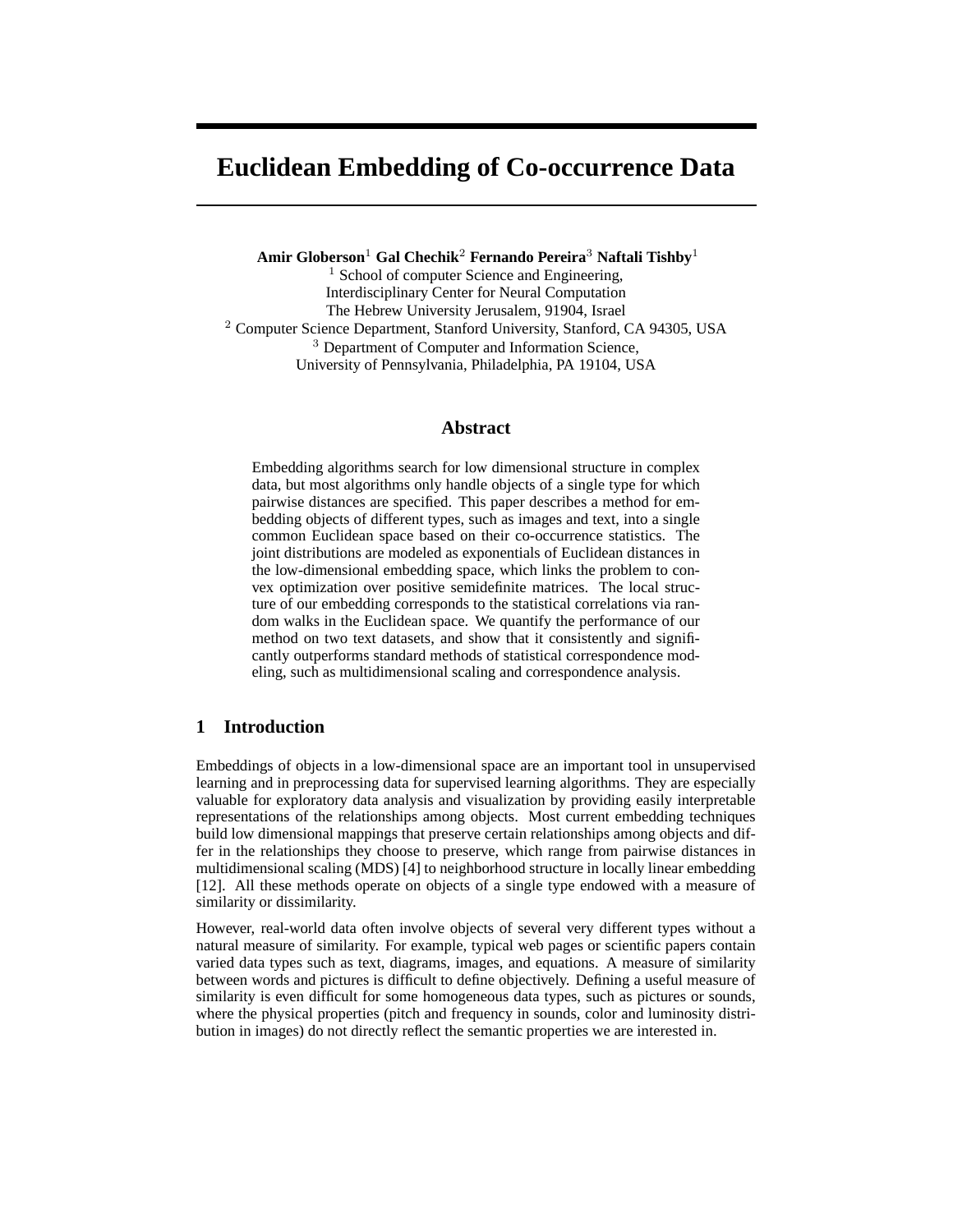# **Euclidean Embedding of Co-occurrence Data**

**Amir Globerson**<sup>1</sup> **Gal Chechik**<sup>2</sup> **Fernando Pereira**<sup>3</sup> **Naftali Tishby**<sup>1</sup>  $<sup>1</sup>$  School of computer Science and Engineering,</sup> Interdisciplinary Center for Neural Computation The Hebrew University Jerusalem, 91904, Israel <sup>2</sup> Computer Science Department, Stanford University, Stanford, CA 94305, USA <sup>3</sup> Department of Computer and Information Science, University of Pennsylvania, Philadelphia, PA 19104, USA

#### **Abstract**

Embedding algorithms search for low dimensional structure in complex data, but most algorithms only handle objects of a single type for which pairwise distances are specified. This paper describes a method for embedding objects of different types, such as images and text, into a single common Euclidean space based on their co-occurrence statistics. The joint distributions are modeled as exponentials of Euclidean distances in the low-dimensional embedding space, which links the problem to convex optimization over positive semidefinite matrices. The local structure of our embedding corresponds to the statistical correlations via random walks in the Euclidean space. We quantify the performance of our method on two text datasets, and show that it consistently and significantly outperforms standard methods of statistical correspondence modeling, such as multidimensional scaling and correspondence analysis.

## **1 Introduction**

Embeddings of objects in a low-dimensional space are an important tool in unsupervised learning and in preprocessing data for supervised learning algorithms. They are especially valuable for exploratory data analysis and visualization by providing easily interpretable representations of the relationships among objects. Most current embedding techniques build low dimensional mappings that preserve certain relationships among objects and differ in the relationships they choose to preserve, which range from pairwise distances in multidimensional scaling (MDS) [4] to neighborhood structure in locally linear embedding [12]. All these methods operate on objects of a single type endowed with a measure of similarity or dissimilarity.

However, real-world data often involve objects of several very different types without a natural measure of similarity. For example, typical web pages or scientific papers contain varied data types such as text, diagrams, images, and equations. A measure of similarity between words and pictures is difficult to define objectively. Defining a useful measure of similarity is even difficult for some homogeneous data types, such as pictures or sounds, where the physical properties (pitch and frequency in sounds, color and luminosity distribution in images) do not directly reflect the semantic properties we are interested in.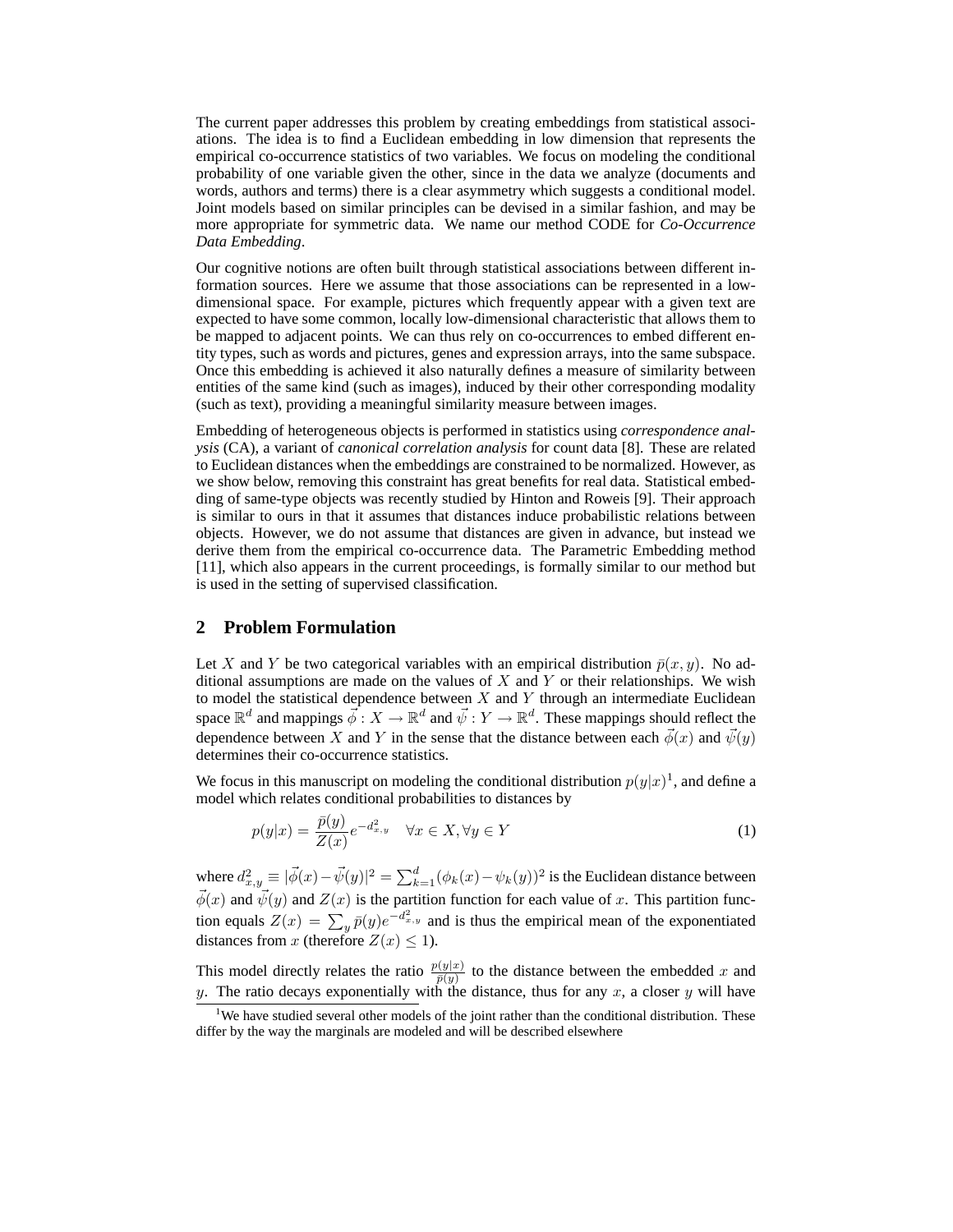The current paper addresses this problem by creating embeddings from statistical associations. The idea is to find a Euclidean embedding in low dimension that represents the empirical co-occurrence statistics of two variables. We focus on modeling the conditional probability of one variable given the other, since in the data we analyze (documents and words, authors and terms) there is a clear asymmetry which suggests a conditional model. Joint models based on similar principles can be devised in a similar fashion, and may be more appropriate for symmetric data. We name our method CODE for *Co-Occurrence Data Embedding*.

Our cognitive notions are often built through statistical associations between different information sources. Here we assume that those associations can be represented in a lowdimensional space. For example, pictures which frequently appear with a given text are expected to have some common, locally low-dimensional characteristic that allows them to be mapped to adjacent points. We can thus rely on co-occurrences to embed different entity types, such as words and pictures, genes and expression arrays, into the same subspace. Once this embedding is achieved it also naturally defines a measure of similarity between entities of the same kind (such as images), induced by their other corresponding modality (such as text), providing a meaningful similarity measure between images.

Embedding of heterogeneous objects is performed in statistics using *correspondence analysis* (CA), a variant of *canonical correlation analysis* for count data [8]. These are related to Euclidean distances when the embeddings are constrained to be normalized. However, as we show below, removing this constraint has great benefits for real data. Statistical embedding of same-type objects was recently studied by Hinton and Roweis [9]. Their approach is similar to ours in that it assumes that distances induce probabilistic relations between objects. However, we do not assume that distances are given in advance, but instead we derive them from the empirical co-occurrence data. The Parametric Embedding method [11], which also appears in the current proceedings, is formally similar to our method but is used in the setting of supervised classification.

#### **2 Problem Formulation**

Let X and Y be two categorical variables with an empirical distribution  $\bar{p}(x, y)$ . No additional assumptions are made on the values of  $X$  and  $Y$  or their relationships. We wish to model the statistical dependence between  $X$  and  $Y$  through an intermediate Euclidean space  $\mathbb{R}^d$  and mappings  $\vec{\phi}: X \to \mathbb{R}^d$  and  $\vec{\psi}: Y \to \mathbb{R}^d$ . These mappings should reflect the dependence between X and Y in the sense that the distance between each  $\vec{\phi}(x)$  and  $\vec{\psi}(y)$ determines their co-occurrence statistics.

We focus in this manuscript on modeling the conditional distribution  $p(y|x)^{1}$ , and define a model which relates conditional probabilities to distances by

$$
p(y|x) = \frac{\bar{p}(y)}{Z(x)} e^{-d_{x,y}^2} \quad \forall x \in X, \forall y \in Y
$$
\n(1)

where  $d_{x,y}^2 \equiv |\vec{\phi}(x) - \vec{\psi}(y)|^2 = \sum_{k=1}^d (\phi_k(x) - \psi_k(y))^2$  is the Euclidean distance between  $\vec{\phi}(x)$  and  $\vec{\psi}(y)$  and  $Z(x)$  is the partition function for each value of x. This partition function equals  $Z(x) = \sum_{y} \bar{p}(y)e^{-d_{x,y}^2}$  and is thus the empirical mean of the exponentiated distances from x (therefore  $Z(x) \leq 1$ ).

This model directly relates the ratio  $\frac{p(y|x)}{\bar{p}(y)}$  to the distance between the embedded x and y. The ratio decays exponentially with the distance, thus for any  $x$ , a closer  $y$  will have

<sup>&</sup>lt;sup>1</sup>We have studied several other models of the joint rather than the conditional distribution. These differ by the way the marginals are modeled and will be described elsewhere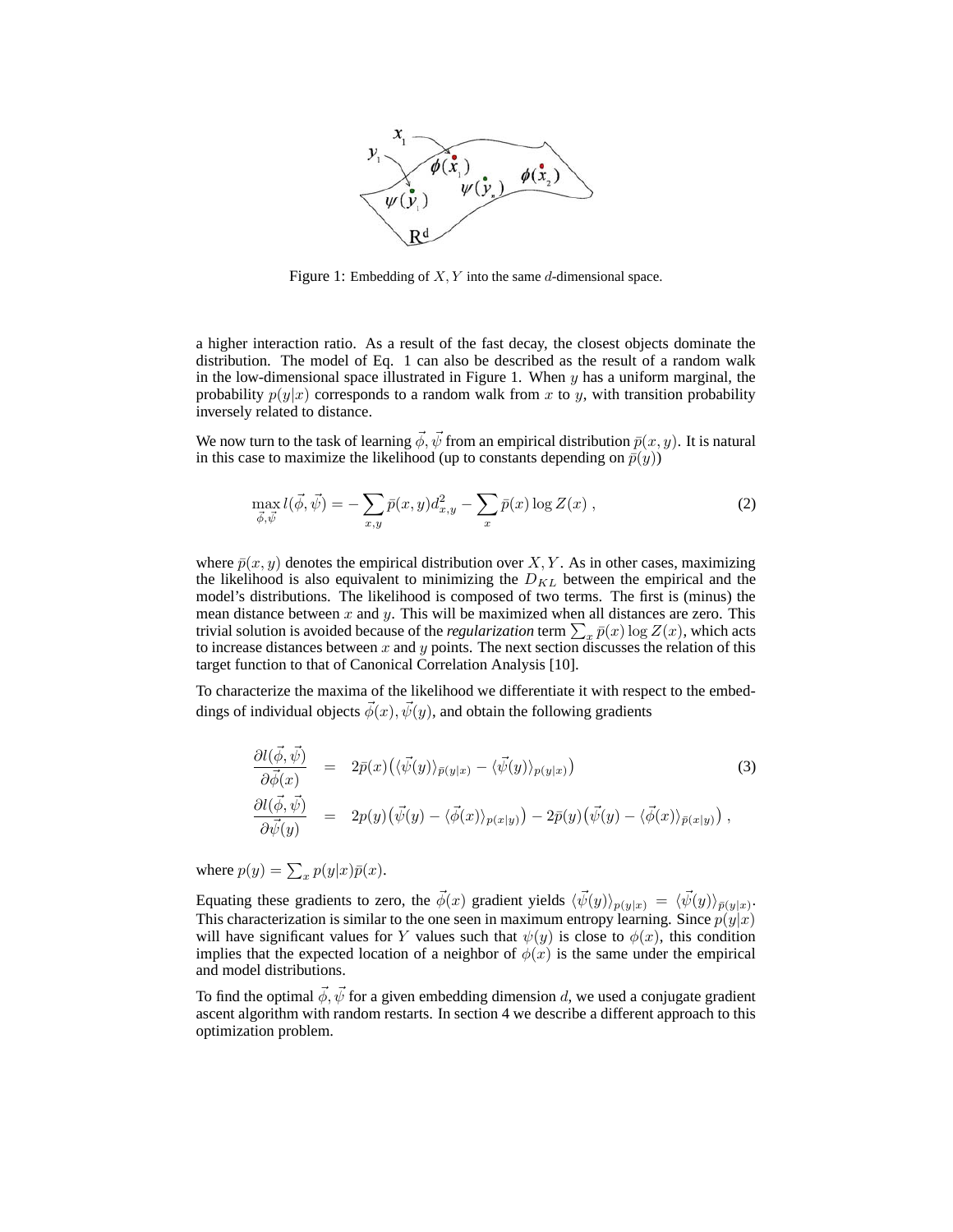

Figure 1: Embedding of  $X, Y$  into the same  $d$ -dimensional space.

a higher interaction ratio. As a result of the fast decay, the closest objects dominate the distribution. The model of Eq. 1 can also be described as the result of a random walk in the low-dimensional space illustrated in Figure 1. When  $y$  has a uniform marginal, the probability  $p(y|x)$  corresponds to a random walk from x to y, with transition probability inversely related to distance.

We now turn to the task of learning  $\vec{\phi}$ ,  $\vec{\psi}$  from an empirical distribution  $\bar{p}(x, y)$ . It is natural in this case to maximize the likelihood (up to constants depending on  $\bar{p}(y)$ )

$$
\max_{\vec{\phi}, \vec{\psi}} l(\vec{\phi}, \vec{\psi}) = -\sum_{x,y} \bar{p}(x,y) d_{x,y}^2 - \sum_x \bar{p}(x) \log Z(x) , \qquad (2)
$$

where  $\bar{p}(x, y)$  denotes the empirical distribution over X, Y. As in other cases, maximizing the likelihood is also equivalent to minimizing the  $D_{KL}$  between the empirical and the model's distributions. The likelihood is composed of two terms. The first is (minus) the mean distance between  $x$  and  $y$ . This will be maximized when all distances are zero. This trivial solution is avoided because of the *regularization* term  $\sum_x \bar{p}(x) \log Z(x)$ , which acts to increase distances between x and y points. The next section discusses the relation of this target function to that of Canonical Correlation Analysis [10].

To characterize the maxima of the likelihood we differentiate it with respect to the embeddings of individual objects  $\vec{\phi}(x), \vec{\psi}(y)$ , and obtain the following gradients

$$
\frac{\partial l(\vec{\phi}, \vec{\psi})}{\partial \vec{\phi}(x)} = 2\bar{p}(x) \left( \langle \vec{\psi}(y) \rangle_{\bar{p}(y|x)} - \langle \vec{\psi}(y) \rangle_{p(y|x)} \right) \tag{3}
$$
\n
$$
\frac{\partial l(\vec{\phi}, \vec{\psi})}{\partial \vec{\psi}(y)} = 2p(y) \left( \vec{\psi}(y) - \langle \vec{\phi}(x) \rangle_{p(x|y)} \right) - 2\bar{p}(y) \left( \vec{\psi}(y) - \langle \vec{\phi}(x) \rangle_{\bar{p}(x|y)} \right),
$$

where  $p(y) = \sum_x p(y|x)\bar{p}(x)$ .

Equating these gradients to zero, the  $\vec{\phi}(x)$  gradient yields  $\langle \vec{\psi}(y) \rangle_{p(y|x)} = \langle \vec{\psi}(y) \rangle_{\bar{p}(y|x)}$ . This characterization is similar to the one seen in maximum entropy learning. Since  $p(y|x)$ will have significant values for Y values such that  $\psi(y)$  is close to  $\phi(x)$ , this condition implies that the expected location of a neighbor of  $\phi(x)$  is the same under the empirical and model distributions.

To find the optimal  $\vec{\phi}$ ,  $\vec{\psi}$  for a given embedding dimension d, we used a conjugate gradient ascent algorithm with random restarts. In section 4 we describe a different approach to this optimization problem.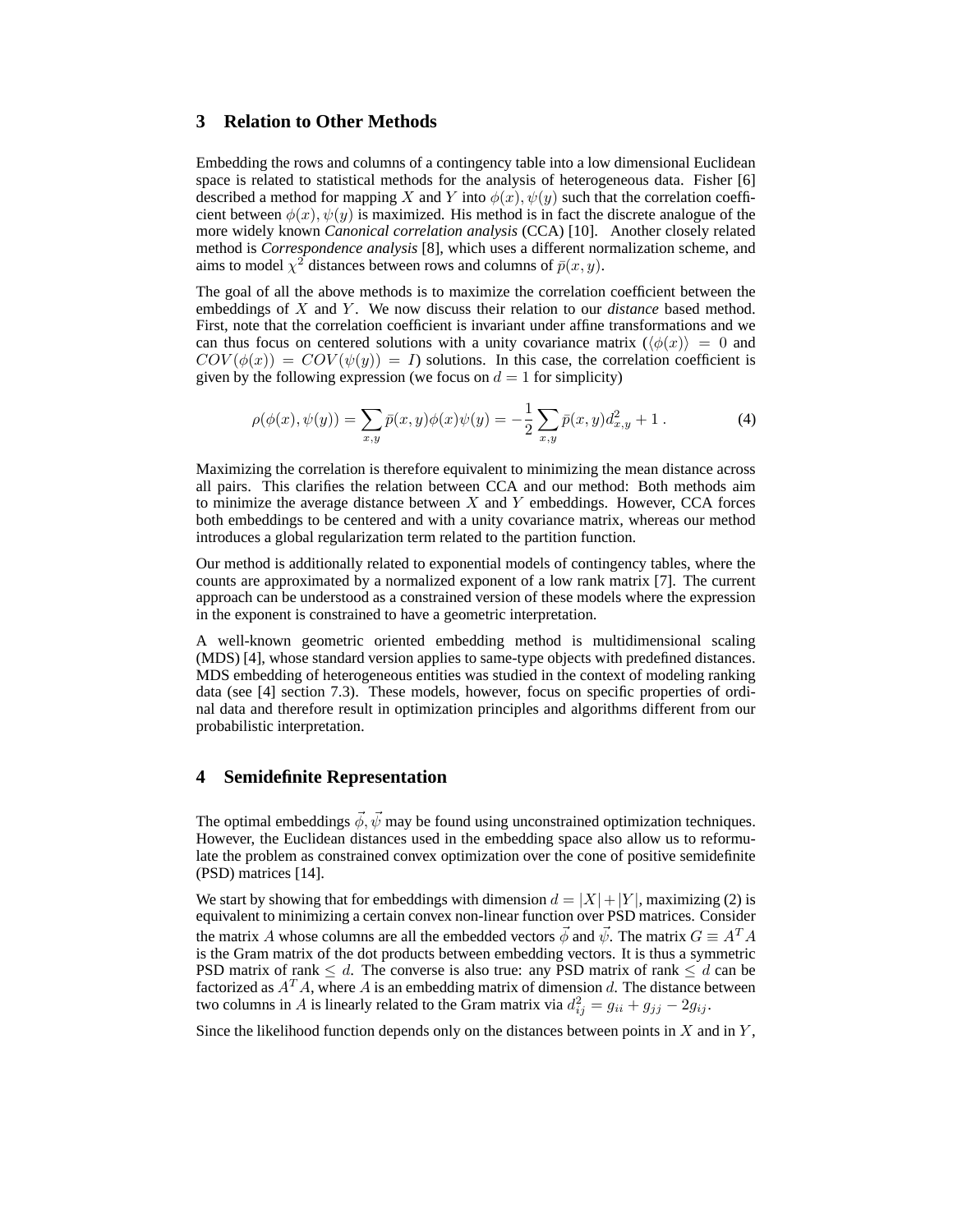#### **3 Relation to Other Methods**

Embedding the rows and columns of a contingency table into a low dimensional Euclidean space is related to statistical methods for the analysis of heterogeneous data. Fisher [6] described a method for mapping X and Y into  $\phi(x)$ ,  $\psi(y)$  such that the correlation coefficient between  $\phi(x)$ ,  $\psi(y)$  is maximized. His method is in fact the discrete analogue of the more widely known *Canonical correlation analysis* (CCA) [10]. Another closely related method is *Correspondence analysis* [8], which uses a different normalization scheme, and aims to model  $\chi^2$  distances between rows and columns of  $\bar{p}(x, y)$ .

The goal of all the above methods is to maximize the correlation coefficient between the embeddings of X and Y. We now discuss their relation to our *distance* based method. First, note that the correlation coefficient is invariant under affine transformations and we can thus focus on centered solutions with a unity covariance matrix  $(\langle \phi(x) \rangle = 0$  and  $COV(\phi(x)) = COV(\psi(y)) = I$  solutions. In this case, the correlation coefficient is given by the following expression (we focus on  $d = 1$  for simplicity)

$$
\rho(\phi(x), \psi(y)) = \sum_{x,y} \bar{p}(x,y)\phi(x)\psi(y) = -\frac{1}{2}\sum_{x,y} \bar{p}(x,y)d_{x,y}^2 + 1.
$$
 (4)

Maximizing the correlation is therefore equivalent to minimizing the mean distance across all pairs. This clarifies the relation between CCA and our method: Both methods aim to minimize the average distance between  $X$  and  $Y$  embeddings. However, CCA forces both embeddings to be centered and with a unity covariance matrix, whereas our method introduces a global regularization term related to the partition function.

Our method is additionally related to exponential models of contingency tables, where the counts are approximated by a normalized exponent of a low rank matrix [7]. The current approach can be understood as a constrained version of these models where the expression in the exponent is constrained to have a geometric interpretation.

A well-known geometric oriented embedding method is multidimensional scaling (MDS) [4], whose standard version applies to same-type objects with predefined distances. MDS embedding of heterogeneous entities was studied in the context of modeling ranking data (see [4] section 7.3). These models, however, focus on specific properties of ordinal data and therefore result in optimization principles and algorithms different from our probabilistic interpretation.

#### **4 Semidefinite Representation**

The optimal embeddings  $\vec{\phi}$ ,  $\vec{\psi}$  may be found using unconstrained optimization techniques. However, the Euclidean distances used in the embedding space also allow us to reformulate the problem as constrained convex optimization over the cone of positive semidefinite (PSD) matrices [14].

We start by showing that for embeddings with dimension  $d = |X| + |Y|$ , maximizing (2) is equivalent to minimizing a certain convex non-linear function over PSD matrices. Consider the matrix A whose columns are all the embedded vectors  $\vec{\phi}$  and  $\vec{\psi}$ . The matrix  $G \equiv A^T A$ is the Gram matrix of the dot products between embedding vectors. It is thus a symmetric PSD matrix of rank  $\leq d$ . The converse is also true: any PSD matrix of rank  $\leq d$  can be factorized as  $A<sup>T</sup>A$ , where A is an embedding matrix of dimension d. The distance between two columns in A is linearly related to the Gram matrix via  $d_{ij}^2 = g_{ii} + g_{jj} - 2g_{ij}$ .

Since the likelihood function depends only on the distances between points in  $X$  and in  $Y$ ,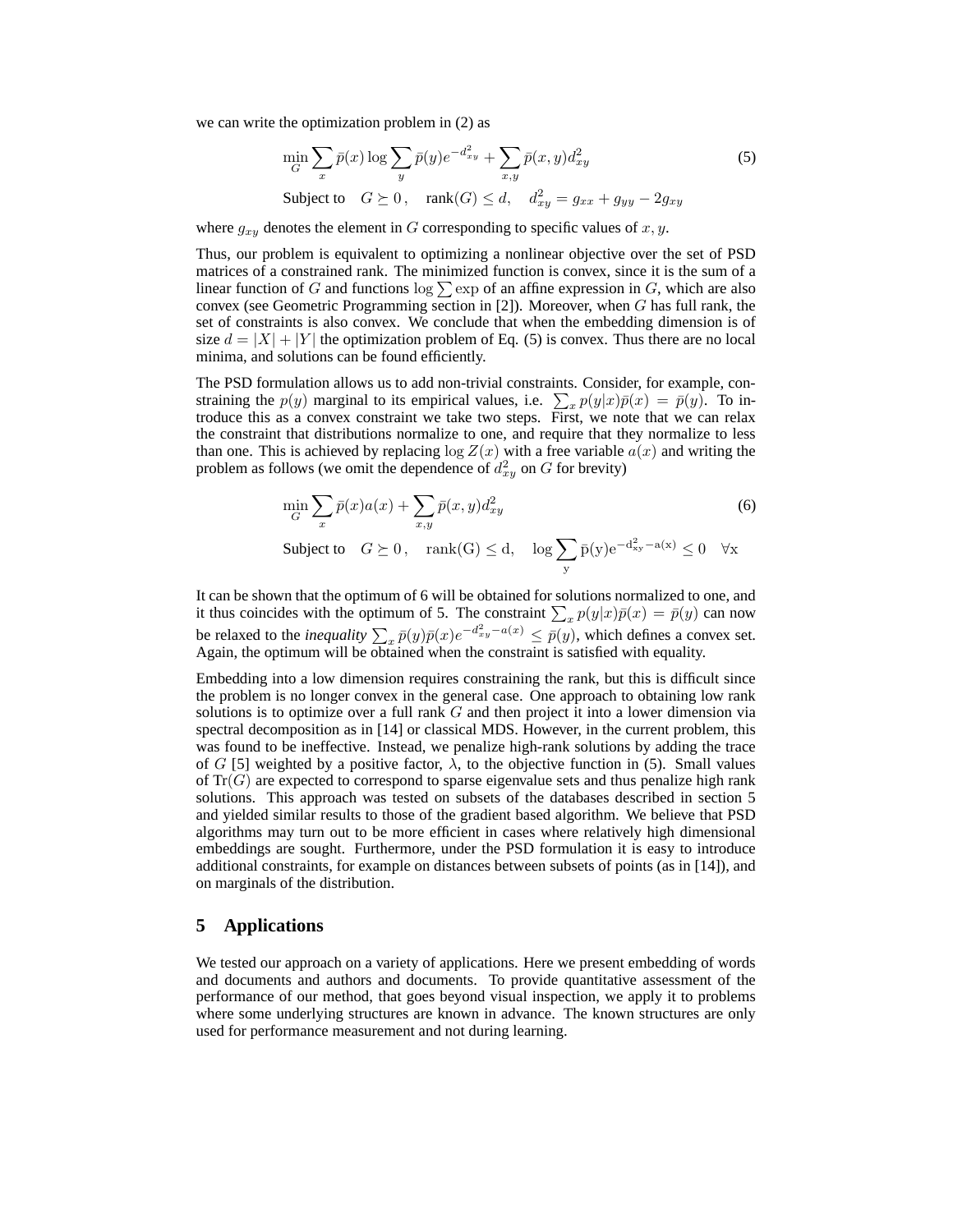we can write the optimization problem in (2) as

$$
\min_{G} \sum_{x} \bar{p}(x) \log \sum_{y} \bar{p}(y) e^{-d_{xy}^2} + \sum_{x,y} \bar{p}(x,y) d_{xy}^2
$$
\nSubject to 
$$
G \succeq 0, \quad \text{rank}(G) \leq d, \quad d_{xy}^2 = g_{xx} + g_{yy} - 2g_{xy}
$$

where  $g_{xy}$  denotes the element in G corresponding to specific values of x, y.

Thus, our problem is equivalent to optimizing a nonlinear objective over the set of PSD matrices of a constrained rank. The minimized function is convex, since it is the sum of a linear function of G and functions  $\log \sum$  exp of an affine expression in G, which are also convex (see Geometric Programming section in  $[2]$ ). Moreover, when  $G$  has full rank, the set of constraints is also convex. We conclude that when the embedding dimension is of size  $d = |X| + |Y|$  the optimization problem of Eq. (5) is convex. Thus there are no local minima, and solutions can be found efficiently.

The PSD formulation allows us to add non-trivial constraints. Consider, for example, constraining the  $p(y)$  marginal to its empirical values, i.e.  $\sum_{x} p(y|x)\bar{p}(x) = \bar{p}(y)$ . To introduce this as a convex constraint we take two steps. First, we note that we can relax the constraint that distributions normalize to one, and require that they normalize to less than one. This is achieved by replacing  $\log Z(x)$  with a free variable  $a(x)$  and writing the problem as follows (we omit the dependence of  $d_{xy}^2$  on G for brevity)

$$
\min_{G} \sum_{x} \bar{p}(x)a(x) + \sum_{x,y} \bar{p}(x,y)d_{xy}^{2}
$$
\n(6)

$$
\text{Subject to}\quad G\succeq 0\,,\quad \text{rank}(\mathbf{G})\leq \mathbf{d},\quad \log \sum_{\mathbf{y}}\bar{\mathbf{p}}(\mathbf{y})\mathrm{e}^{-\mathbf{d}_{\mathbf{x}\mathbf{y}}^2-\mathbf{a}(\mathbf{x})}\leq 0\quad \forall \mathbf{x}
$$

It can be shown that the optimum of 6 will be obtained for solutions normalized to one, and it thus coincides with the optimum of 5. The constraint  $\sum_{x} p(y|x) \bar{p}(x) = \bar{p}(y)$  can now be relaxed to the *inequality*  $\sum_{x} \bar{p}(y)\bar{p}(x)e^{-d_{xy}^2 - a(x)} \le \bar{p}(y)$ , which defines a convex set. Again, the optimum will be obtained when the constraint is satisfied with equality.

Embedding into a low dimension requires constraining the rank, but this is difficult since the problem is no longer convex in the general case. One approach to obtaining low rank solutions is to optimize over a full rank  $G$  and then project it into a lower dimension via spectral decomposition as in [14] or classical MDS. However, in the current problem, this was found to be ineffective. Instead, we penalize high-rank solutions by adding the trace of G [5] weighted by a positive factor,  $\lambda$ , to the objective function in (5). Small values of  $Tr(G)$  are expected to correspond to sparse eigenvalue sets and thus penalize high rank solutions. This approach was tested on subsets of the databases described in section 5 and yielded similar results to those of the gradient based algorithm. We believe that PSD algorithms may turn out to be more efficient in cases where relatively high dimensional embeddings are sought. Furthermore, under the PSD formulation it is easy to introduce additional constraints, for example on distances between subsets of points (as in [14]), and on marginals of the distribution.

#### **5 Applications**

We tested our approach on a variety of applications. Here we present embedding of words and documents and authors and documents. To provide quantitative assessment of the performance of our method, that goes beyond visual inspection, we apply it to problems where some underlying structures are known in advance. The known structures are only used for performance measurement and not during learning.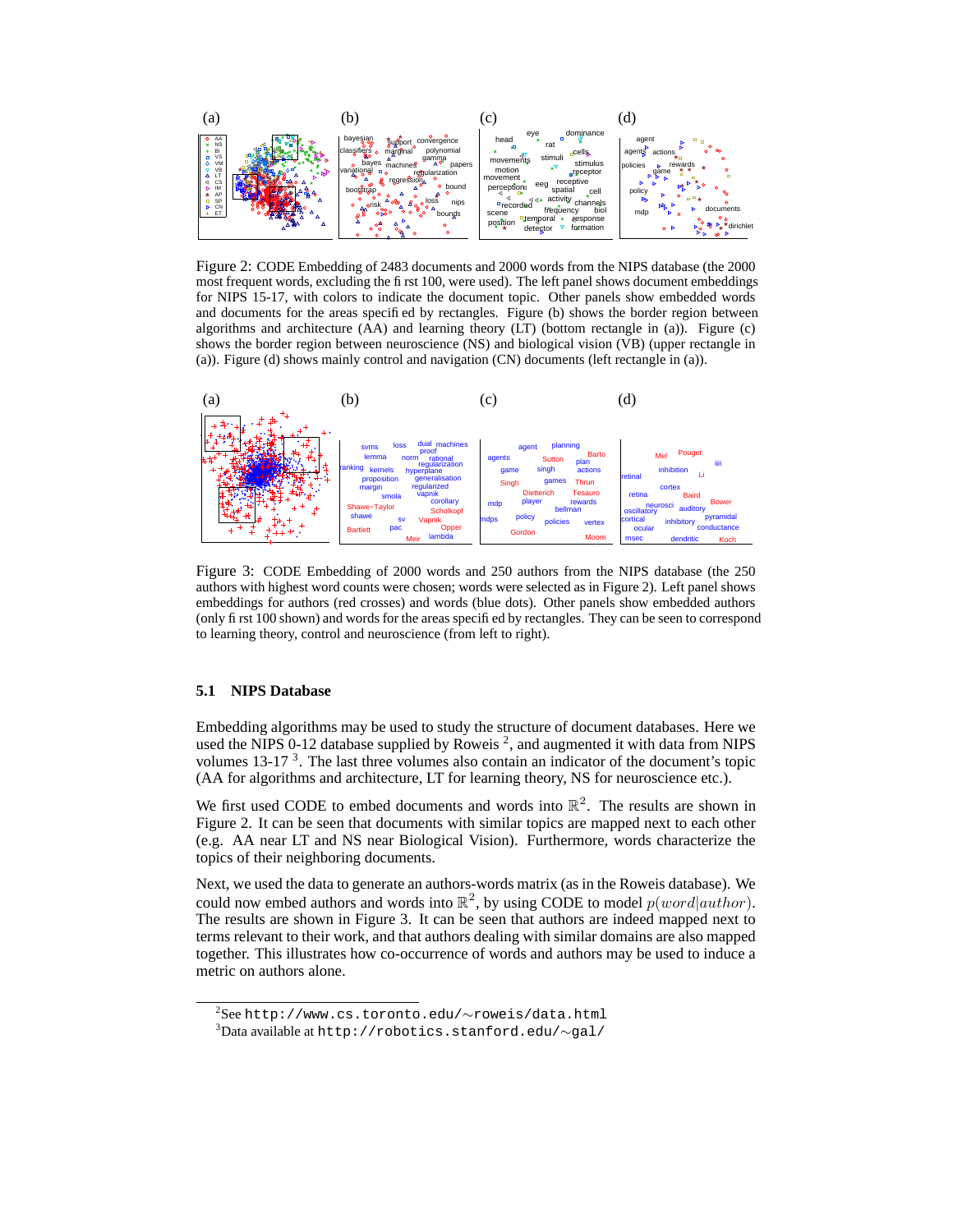

Figure 2: CODE Embedding of 2483 documents and 2000 words from the NIPS database (the 2000 most frequent words, excluding the first 100, were used). The left panel shows document embeddings for NIPS 15-17, with colors to indicate the document topic. Other panels show embedded words and documents for the areas specified by rectangles. Figure (b) shows the border region between algorithms and architecture (AA) and learning theory (LT) (bottom rectangle in (a)). Figure (c) shows the border region between neuroscience (NS) and biological vision (VB) (upper rectangle in (a)). Figure (d) shows mainly control and navigation (CN) documents (left rectangle in (a)).



Figure 3: CODE Embedding of 2000 words and 250 authors from the NIPS database (the 250 authors with highest word counts were chosen; words were selected as in Figure 2). Left panel shows embeddings for authors (red crosses) and words (blue dots). Other panels show embedded authors (only first 100 shown) and words for the areas specified by rectangles. They can be seen to correspond to learning theory, control and neuroscience (from left to right).

#### **5.1 NIPS Database**

Embedding algorithms may be used to study the structure of document databases. Here we used the NIPS 0-12 database supplied by Roweis  $^2$ , and augmented it with data from NIPS volumes 13-17<sup>3</sup>. The last three volumes also contain an indicator of the document's topic (AA for algorithms and architecture, LT for learning theory, NS for neuroscience etc.).

We first used CODE to embed documents and words into  $\mathbb{R}^2$ . The results are shown in Figure 2. It can be seen that documents with similar topics are mapped next to each other (e.g. AA near LT and NS near Biological Vision). Furthermore, words characterize the topics of their neighboring documents.

Next, we used the data to generate an authors-words matrix (as in the Roweis database). We could now embed authors and words into  $\mathbb{R}^2$ , by using CODE to model  $p(word|author)$ . The results are shown in Figure 3. It can be seen that authors are indeed mapped next to terms relevant to their work, and that authors dealing with similar domains are also mapped together. This illustrates how co-occurrence of words and authors may be used to induce a metric on authors alone.

<sup>2</sup> See http://www.cs.toronto.edu/∼roweis/data.html

<sup>3</sup>Data available at http://robotics.stanford.edu/∼gal/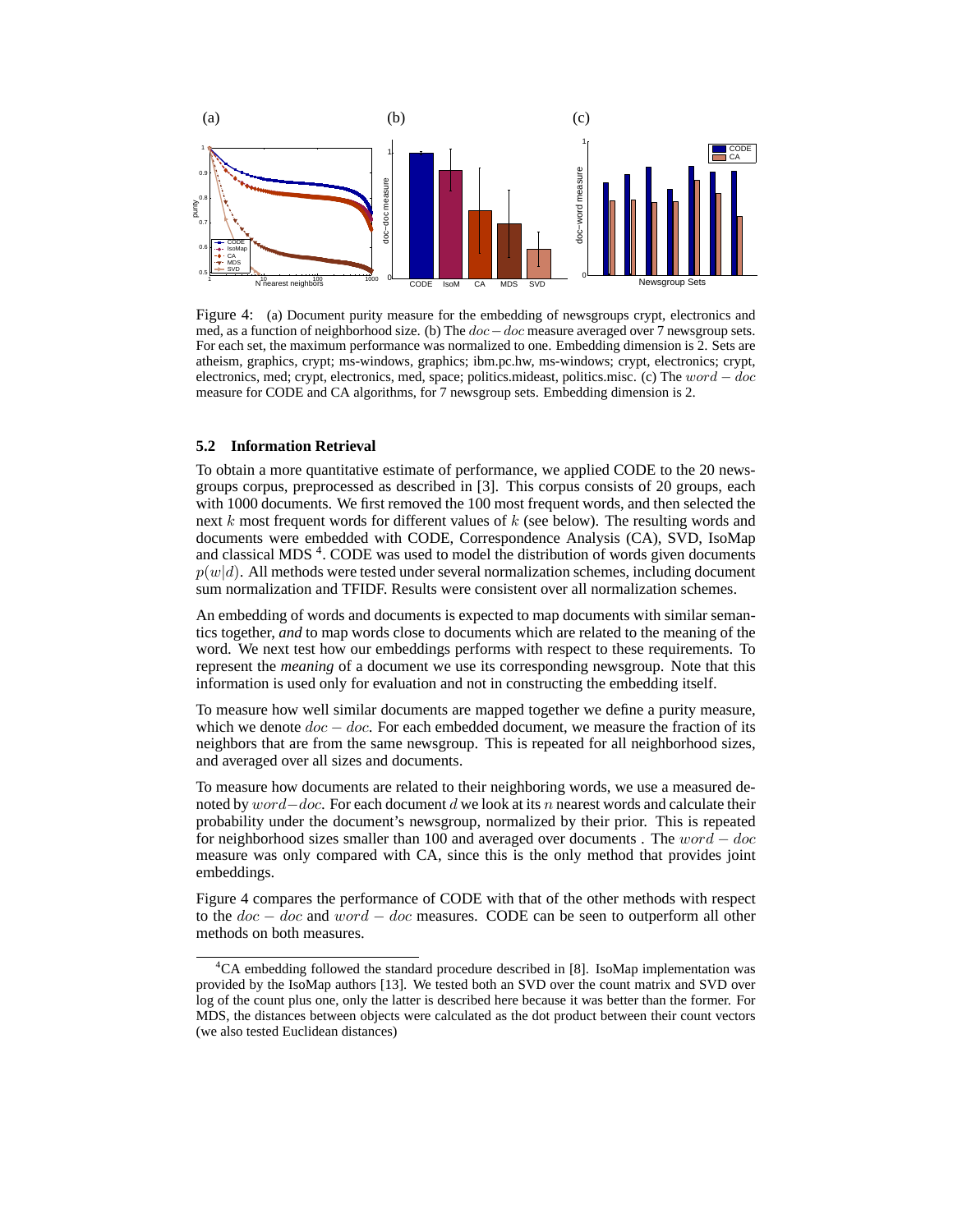

Figure 4: (a) Document purity measure for the embedding of newsgroups crypt, electronics and med, as a function of neighborhood size. (b) The doc−doc measure averaged over 7 newsgroup sets. For each set, the maximum performance was normalized to one. Embedding dimension is 2. Sets are atheism, graphics, crypt; ms-windows, graphics; ibm.pc.hw, ms-windows; crypt, electronics; crypt, electronics, med; crypt, electronics, med, space; politics.mideast, politics.misc. (c) The word − doc measure for CODE and CA algorithms, for 7 newsgroup sets. Embedding dimension is 2.

#### **5.2 Information Retrieval**

To obtain a more quantitative estimate of performance, we applied CODE to the 20 newsgroups corpus, preprocessed as described in [3]. This corpus consists of 20 groups, each with 1000 documents. We first removed the 100 most frequent words, and then selected the next k most frequent words for different values of  $k$  (see below). The resulting words and documents were embedded with CODE, Correspondence Analysis (CA), SVD, IsoMap and classical MDS<sup>4</sup>. CODE was used to model the distribution of words given documents  $p(w|d)$ . All methods were tested under several normalization schemes, including document sum normalization and TFIDF. Results were consistent over all normalization schemes.

An embedding of words and documents is expected to map documents with similar semantics together, *and* to map words close to documents which are related to the meaning of the word. We next test how our embeddings performs with respect to these requirements. To represent the *meaning* of a document we use its corresponding newsgroup. Note that this information is used only for evaluation and not in constructing the embedding itself.

To measure how well similar documents are mapped together we define a purity measure, which we denote  $doc - doc$ . For each embedded document, we measure the fraction of its neighbors that are from the same newsgroup. This is repeated for all neighborhood sizes, and averaged over all sizes and documents.

To measure how documents are related to their neighboring words, we use a measured denoted by  $word–doc$ . For each document d we look at its n nearest words and calculate their probability under the document's newsgroup, normalized by their prior. This is repeated for neighborhood sizes smaller than 100 and averaged over documents . The  $word - doc$ measure was only compared with CA, since this is the only method that provides joint embeddings.

Figure 4 compares the performance of CODE with that of the other methods with respect to the  $doc - doc$  and  $word - doc$  measures. CODE can be seen to outperform all other methods on both measures.

<sup>&</sup>lt;sup>4</sup>CA embedding followed the standard procedure described in [8]. IsoMap implementation was provided by the IsoMap authors [13]. We tested both an SVD over the count matrix and SVD over log of the count plus one, only the latter is described here because it was better than the former. For MDS, the distances between objects were calculated as the dot product between their count vectors (we also tested Euclidean distances)